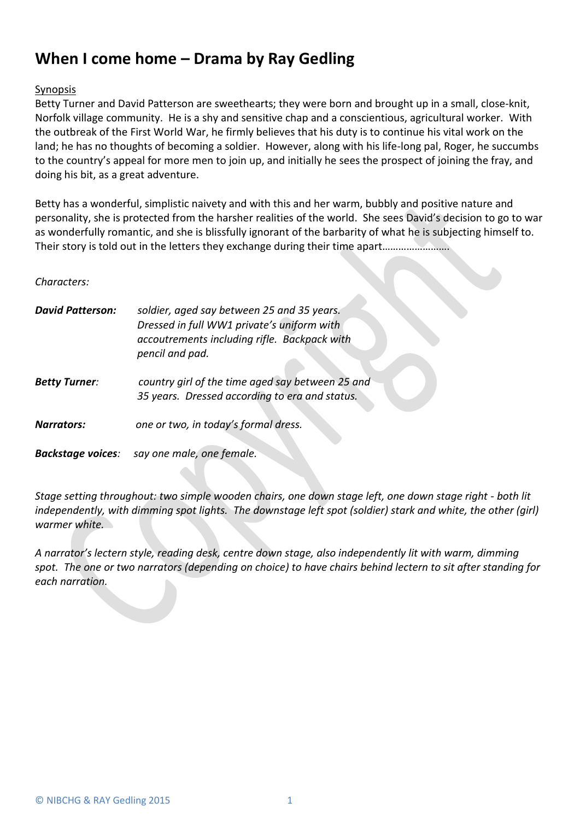## **When I come home – Drama by Ray Gedling**

## **Synopsis**

Betty Turner and David Patterson are sweethearts; they were born and brought up in a small, close-knit, Norfolk village community. He is a shy and sensitive chap and a conscientious, agricultural worker. With the outbreak of the First World War, he firmly believes that his duty is to continue his vital work on the land; he has no thoughts of becoming a soldier. However, along with his life-long pal, Roger, he succumbs to the country's appeal for more men to join up, and initially he sees the prospect of joining the fray, and doing his bit, as a great adventure.

Betty has a wonderful, simplistic naivety and with this and her warm, bubbly and positive nature and personality, she is protected from the harsher realities of the world. She sees David's decision to go to war as wonderfully romantic, and she is blissfully ignorant of the barbarity of what he is subjecting himself to. Their story is told out in the letters they exchange during their time apart……………………………

## *Characters:*

| <b>David Patterson:</b>  | soldier, aged say between 25 and 35 years.<br>Dressed in full WW1 private's uniform with<br>accoutrements including rifle. Backpack with<br>pencil and pad. |
|--------------------------|-------------------------------------------------------------------------------------------------------------------------------------------------------------|
| <b>Betty Turner:</b>     | country girl of the time aged say between 25 and<br>35 years. Dressed according to era and status.                                                          |
| <b>Narrators:</b>        | one or two, in today's formal dress.                                                                                                                        |
| <b>Backstage voices:</b> | say one male, one female.                                                                                                                                   |

*Stage setting throughout: two simple wooden chairs, one down stage left, one down stage right - both lit independently, with dimming spot lights. The downstage left spot (soldier) stark and white, the other (girl) warmer white.*

*A narrator's lectern style, reading desk, centre down stage, also independently lit with warm, dimming spot. The one or two narrators (depending on choice) to have chairs behind lectern to sit after standing for each narration.*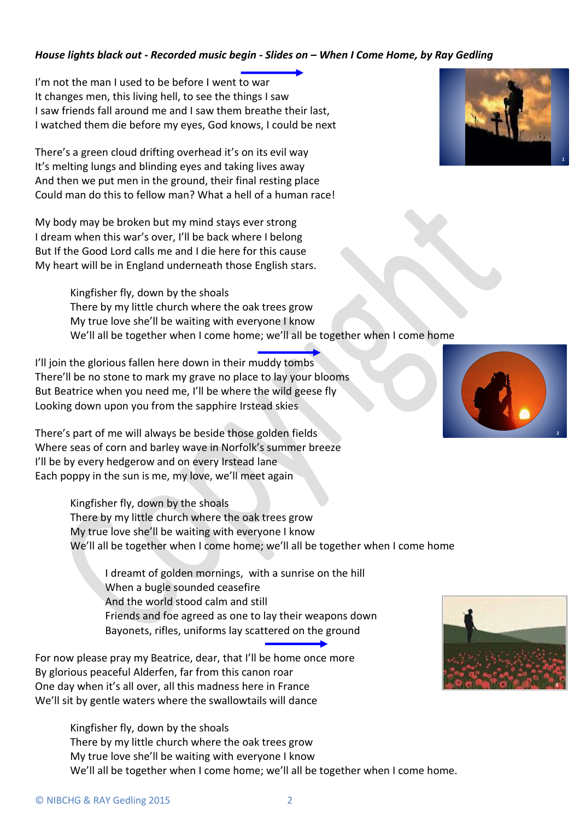## *House lights black out - Recorded music begin - Slides on – When I Come Home, by Ray Gedling*

I'm not the man I used to be before I went to war It changes men, this living hell, to see the things I saw I saw friends fall around me and I saw them breathe their last, I watched them die before my eyes, God knows, I could be next

There's a green cloud drifting overhead it's on its evil way It's melting lungs and blinding eyes and taking lives away And then we put men in the ground, their final resting place Could man do this to fellow man? What a hell of a human race!

My body may be broken but my mind stays ever strong I dream when this war's over, I'll be back where I belong But If the Good Lord calls me and I die here for this cause My heart will be in England underneath those English stars.

> Kingfisher fly, down by the shoals There by my little church where the oak trees grow My true love she'll be waiting with everyone I know We'll all be together when I come home; we'll all be together when I come home

I'll join the glorious fallen here down in their muddy tombs There'll be no stone to mark my grave no place to lay your blooms But Beatrice when you need me, I'll be where the wild geese fly Looking down upon you from the sapphire Irstead skies

There's part of me will always be beside those golden fields Where seas of corn and barley wave in Norfolk's summer breeze I'll be by every hedgerow and on every Irstead lane Each poppy in the sun is me, my love, we'll meet again

> Kingfisher fly, down by the shoals There by my little church where the oak trees grow My true love she'll be waiting with everyone I know We'll all be together when I come home; we'll all be together when I come home

I dreamt of golden mornings, with a sunrise on the hill When a bugle sounded ceasefire And the world stood calm and still Friends and foe agreed as one to lay their weapons down Bayonets, rifles, uniforms lay scattered on the ground

For now please pray my Beatrice, dear, that I'll be home once more By glorious peaceful Alderfen, far from this canon roar One day when it's all over, all this madness here in France We'll sit by gentle waters where the swallowtails will dance

> Kingfisher fly, down by the shoals There by my little church where the oak trees grow My true love she'll be waiting with everyone I know We'll all be together when I come home; we'll all be together when I come home.





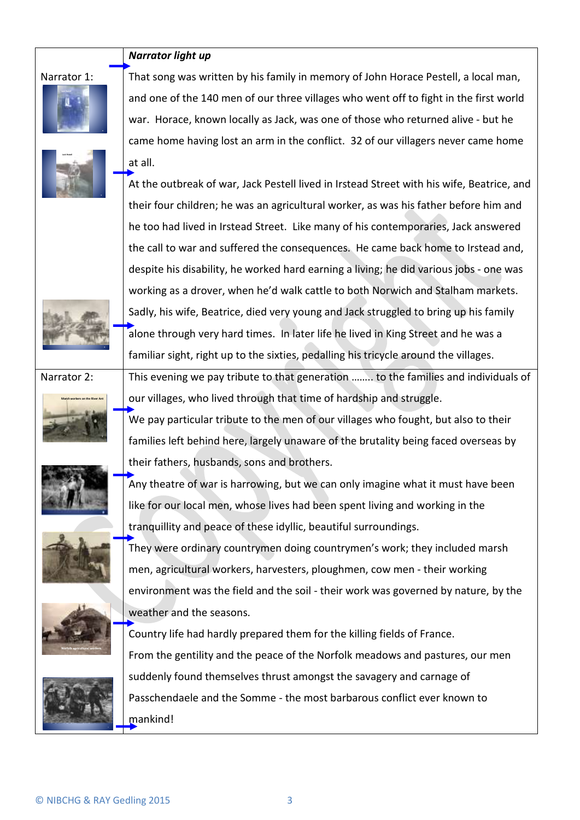|             | Narrator light up                                                                         |
|-------------|-------------------------------------------------------------------------------------------|
| Narrator 1: | That song was written by his family in memory of John Horace Pestell, a local man,        |
|             | and one of the 140 men of our three villages who went off to fight in the first world     |
|             | war. Horace, known locally as Jack, was one of those who returned alive - but he          |
|             | came home having lost an arm in the conflict. 32 of our villagers never came home         |
|             | at all.                                                                                   |
|             | At the outbreak of war, Jack Pestell lived in Irstead Street with his wife, Beatrice, and |
|             | their four children; he was an agricultural worker, as was his father before him and      |
|             | he too had lived in Irstead Street. Like many of his contemporaries, Jack answered        |
|             | the call to war and suffered the consequences. He came back home to Irstead and,          |
|             | despite his disability, he worked hard earning a living; he did various jobs - one was    |
|             | working as a drover, when he'd walk cattle to both Norwich and Stalham markets.           |
|             | Sadly, his wife, Beatrice, died very young and Jack struggled to bring up his family      |
|             | alone through very hard times. In later life he lived in King Street and he was a         |
|             | familiar sight, right up to the sixties, pedalling his tricycle around the villages.      |
| Narrator 2: | This evening we pay tribute to that generation  to the families and individuals of        |
|             | our villages, who lived through that time of hardship and struggle.                       |
|             | We pay particular tribute to the men of our villages who fought, but also to their        |
|             | families left behind here, largely unaware of the brutality being faced overseas by       |
|             | their fathers, husbands, sons and brothers.                                               |
|             | Any theatre of war is harrowing, but we can only imagine what it must have been           |
|             | like for our local men, whose lives had been spent living and working in the              |
|             | tranquillity and peace of these idyllic, beautiful surroundings.                          |
|             | They were ordinary countrymen doing countrymen's work; they included marsh                |
|             | men, agricultural workers, harvesters, ploughmen, cow men - their working                 |
|             | environment was the field and the soil - their work was governed by nature, by the        |
|             | weather and the seasons.                                                                  |
|             | Country life had hardly prepared them for the killing fields of France.                   |
|             | From the gentility and the peace of the Norfolk meadows and pastures, our men             |
|             | suddenly found themselves thrust amongst the savagery and carnage of                      |
|             | Passchendaele and the Somme - the most barbarous conflict ever known to                   |
|             | mankind!                                                                                  |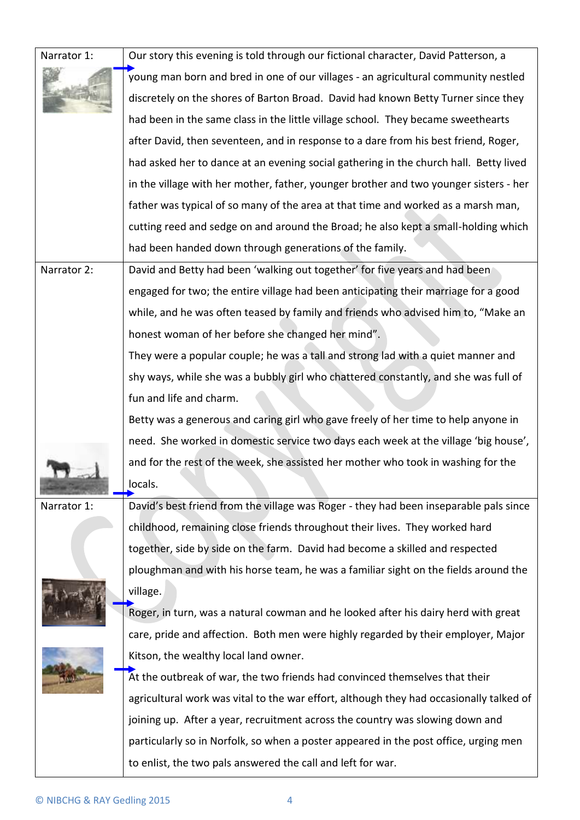| Narrator 1: | Our story this evening is told through our fictional character, David Patterson, a      |
|-------------|-----------------------------------------------------------------------------------------|
|             | young man born and bred in one of our villages - an agricultural community nestled      |
|             | discretely on the shores of Barton Broad. David had known Betty Turner since they       |
|             | had been in the same class in the little village school. They became sweethearts        |
|             | after David, then seventeen, and in response to a dare from his best friend, Roger,     |
|             | had asked her to dance at an evening social gathering in the church hall. Betty lived   |
|             | in the village with her mother, father, younger brother and two younger sisters - her   |
|             | father was typical of so many of the area at that time and worked as a marsh man,       |
|             | cutting reed and sedge on and around the Broad; he also kept a small-holding which      |
|             | had been handed down through generations of the family.                                 |
| Narrator 2: | David and Betty had been 'walking out together' for five years and had been             |
|             | engaged for two; the entire village had been anticipating their marriage for a good     |
|             | while, and he was often teased by family and friends who advised him to, "Make an       |
|             | honest woman of her before she changed her mind".                                       |
|             | They were a popular couple; he was a tall and strong lad with a quiet manner and        |
|             | shy ways, while she was a bubbly girl who chattered constantly, and she was full of     |
|             | fun and life and charm.                                                                 |
|             | Betty was a generous and caring girl who gave freely of her time to help anyone in      |
|             | need. She worked in domestic service two days each week at the village 'big house',     |
|             | and for the rest of the week, she assisted her mother who took in washing for the       |
|             | locals.                                                                                 |
| Narrator 1: | David's best friend from the village was Roger - they had been inseparable pals since   |
|             | childhood, remaining close friends throughout their lives. They worked hard             |
|             | together, side by side on the farm. David had become a skilled and respected            |
|             | ploughman and with his horse team, he was a familiar sight on the fields around the     |
|             | village.                                                                                |
|             | Roger, in turn, was a natural cowman and he looked after his dairy herd with great      |
|             | care, pride and affection. Both men were highly regarded by their employer, Major       |
|             | Kitson, the wealthy local land owner.                                                   |
|             | At the outbreak of war, the two friends had convinced themselves that their             |
|             | agricultural work was vital to the war effort, although they had occasionally talked of |
|             | joining up. After a year, recruitment across the country was slowing down and           |
|             | particularly so in Norfolk, so when a poster appeared in the post office, urging men    |
|             | to enlist, the two pals answered the call and left for war.                             |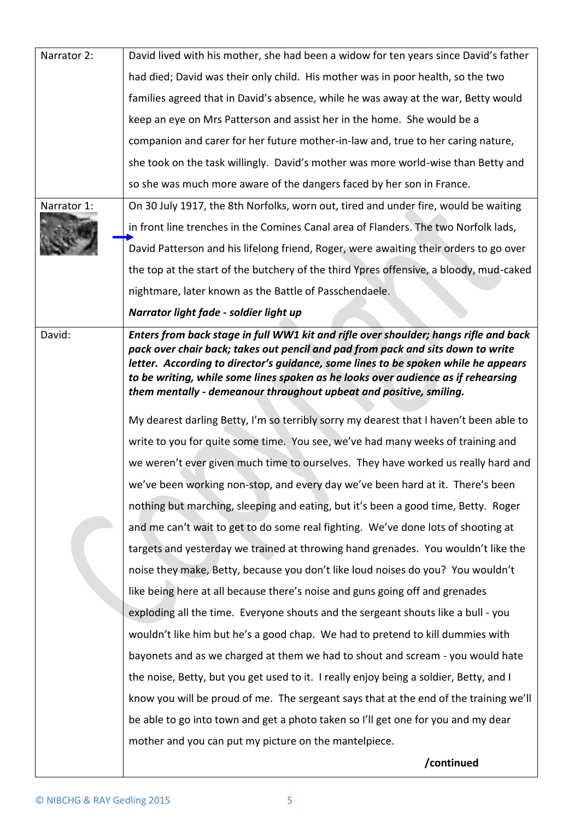| Narrator 2: | David lived with his mother, she had been a widow for ten years since David's father                                                                                                                                                                                                                                                                                                                                     |
|-------------|--------------------------------------------------------------------------------------------------------------------------------------------------------------------------------------------------------------------------------------------------------------------------------------------------------------------------------------------------------------------------------------------------------------------------|
|             | had died; David was their only child. His mother was in poor health, so the two                                                                                                                                                                                                                                                                                                                                          |
|             | families agreed that in David's absence, while he was away at the war, Betty would                                                                                                                                                                                                                                                                                                                                       |
|             | keep an eye on Mrs Patterson and assist her in the home. She would be a                                                                                                                                                                                                                                                                                                                                                  |
|             | companion and carer for her future mother-in-law and, true to her caring nature,                                                                                                                                                                                                                                                                                                                                         |
|             | she took on the task willingly. David's mother was more world-wise than Betty and                                                                                                                                                                                                                                                                                                                                        |
|             | so she was much more aware of the dangers faced by her son in France.                                                                                                                                                                                                                                                                                                                                                    |
| Narrator 1: | On 30 July 1917, the 8th Norfolks, worn out, tired and under fire, would be waiting                                                                                                                                                                                                                                                                                                                                      |
|             | in front line trenches in the Comines Canal area of Flanders. The two Norfolk lads,                                                                                                                                                                                                                                                                                                                                      |
|             | David Patterson and his lifelong friend, Roger, were awaiting their orders to go over                                                                                                                                                                                                                                                                                                                                    |
|             | the top at the start of the butchery of the third Ypres offensive, a bloody, mud-caked                                                                                                                                                                                                                                                                                                                                   |
|             | nightmare, later known as the Battle of Passchendaele.                                                                                                                                                                                                                                                                                                                                                                   |
|             | Narrator light fade - soldier light up                                                                                                                                                                                                                                                                                                                                                                                   |
| David:      | Enters from back stage in full WW1 kit and rifle over shoulder; hangs rifle and back<br>pack over chair back; takes out pencil and pad from pack and sits down to write<br>letter. According to director's guidance, some lines to be spoken while he appears<br>to be writing, while some lines spoken as he looks over audience as if rehearsing<br>them mentally - demeanour throughout upbeat and positive, smiling. |
|             | My dearest darling Betty, I'm so terribly sorry my dearest that I haven't been able to                                                                                                                                                                                                                                                                                                                                   |
|             | write to you for quite some time. You see, we've had many weeks of training and                                                                                                                                                                                                                                                                                                                                          |
|             | we weren't ever given much time to ourselves. They have worked us really hard and                                                                                                                                                                                                                                                                                                                                        |
|             | we've been working non-stop, and every day we've been hard at it. There's been                                                                                                                                                                                                                                                                                                                                           |
|             | nothing but marching, sleeping and eating, but it's been a good time, Betty. Roger                                                                                                                                                                                                                                                                                                                                       |
|             | and me can't wait to get to do some real fighting. We've done lots of shooting at                                                                                                                                                                                                                                                                                                                                        |
|             | targets and yesterday we trained at throwing hand grenades. You wouldn't like the                                                                                                                                                                                                                                                                                                                                        |
|             | noise they make, Betty, because you don't like loud noises do you? You wouldn't                                                                                                                                                                                                                                                                                                                                          |
|             | like being here at all because there's noise and guns going off and grenades                                                                                                                                                                                                                                                                                                                                             |
|             | exploding all the time. Everyone shouts and the sergeant shouts like a bull - you                                                                                                                                                                                                                                                                                                                                        |
|             | wouldn't like him but he's a good chap. We had to pretend to kill dummies with                                                                                                                                                                                                                                                                                                                                           |
|             | bayonets and as we charged at them we had to shout and scream - you would hate                                                                                                                                                                                                                                                                                                                                           |
|             | the noise, Betty, but you get used to it. I really enjoy being a soldier, Betty, and I                                                                                                                                                                                                                                                                                                                                   |
|             | know you will be proud of me. The sergeant says that at the end of the training we'll                                                                                                                                                                                                                                                                                                                                    |
|             | be able to go into town and get a photo taken so I'll get one for you and my dear                                                                                                                                                                                                                                                                                                                                        |
|             | mother and you can put my picture on the mantelpiece.                                                                                                                                                                                                                                                                                                                                                                    |
|             | /continued                                                                                                                                                                                                                                                                                                                                                                                                               |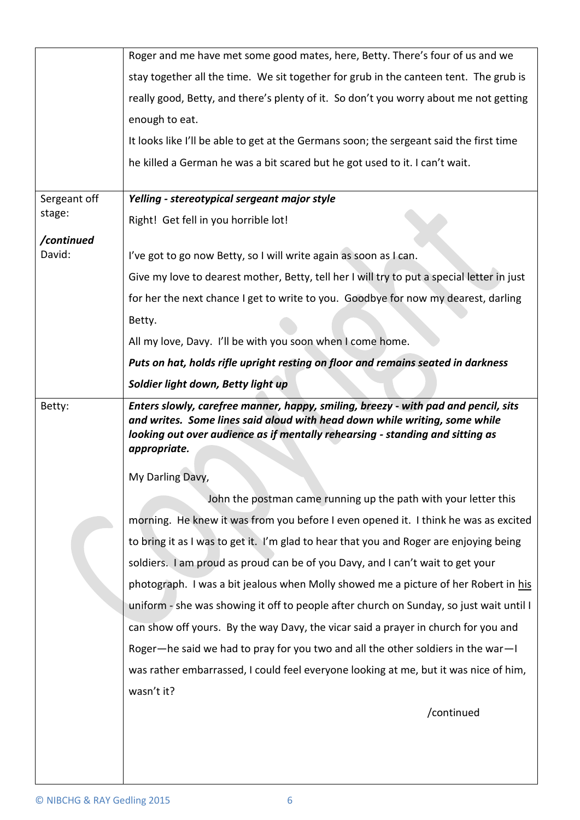|              | Roger and me have met some good mates, here, Betty. There's four of us and we                                                                                    |
|--------------|------------------------------------------------------------------------------------------------------------------------------------------------------------------|
|              | stay together all the time. We sit together for grub in the canteen tent. The grub is                                                                            |
|              | really good, Betty, and there's plenty of it. So don't you worry about me not getting                                                                            |
|              | enough to eat.                                                                                                                                                   |
|              | It looks like I'll be able to get at the Germans soon; the sergeant said the first time                                                                          |
|              | he killed a German he was a bit scared but he got used to it. I can't wait.                                                                                      |
|              |                                                                                                                                                                  |
| Sergeant off | Yelling - stereotypical sergeant major style                                                                                                                     |
| stage:       | Right! Get fell in you horrible lot!                                                                                                                             |
| /continued   |                                                                                                                                                                  |
| David:       | I've got to go now Betty, so I will write again as soon as I can.                                                                                                |
|              | Give my love to dearest mother, Betty, tell her I will try to put a special letter in just                                                                       |
|              | for her the next chance I get to write to you. Goodbye for now my dearest, darling                                                                               |
|              | Betty.                                                                                                                                                           |
|              | All my love, Davy. I'll be with you soon when I come home.                                                                                                       |
|              | Puts on hat, holds rifle upright resting on floor and remains seated in darkness                                                                                 |
|              | Soldier light down, Betty light up                                                                                                                               |
| Betty:       | Enters slowly, carefree manner, happy, smiling, breezy - with pad and pencil, sits<br>and writes. Some lines said aloud with head down while writing, some while |
|              | looking out over audience as if mentally rehearsing - standing and sitting as<br>appropriate.                                                                    |
|              | My Darling Davy,                                                                                                                                                 |
|              | John the postman came running up the path with your letter this                                                                                                  |
|              | morning. He knew it was from you before I even opened it. I think he was as excited                                                                              |
|              | to bring it as I was to get it. I'm glad to hear that you and Roger are enjoying being                                                                           |
|              | soldiers. I am proud as proud can be of you Davy, and I can't wait to get your                                                                                   |
|              | photograph. I was a bit jealous when Molly showed me a picture of her Robert in his                                                                              |
|              | uniform - she was showing it off to people after church on Sunday, so just wait until I                                                                          |
|              |                                                                                                                                                                  |
|              | can show off yours. By the way Davy, the vicar said a prayer in church for you and                                                                               |
|              | Roger—he said we had to pray for you two and all the other soldiers in the war—I                                                                                 |
|              | was rather embarrassed, I could feel everyone looking at me, but it was nice of him,                                                                             |
|              | wasn't it?                                                                                                                                                       |
|              | /continued                                                                                                                                                       |
|              |                                                                                                                                                                  |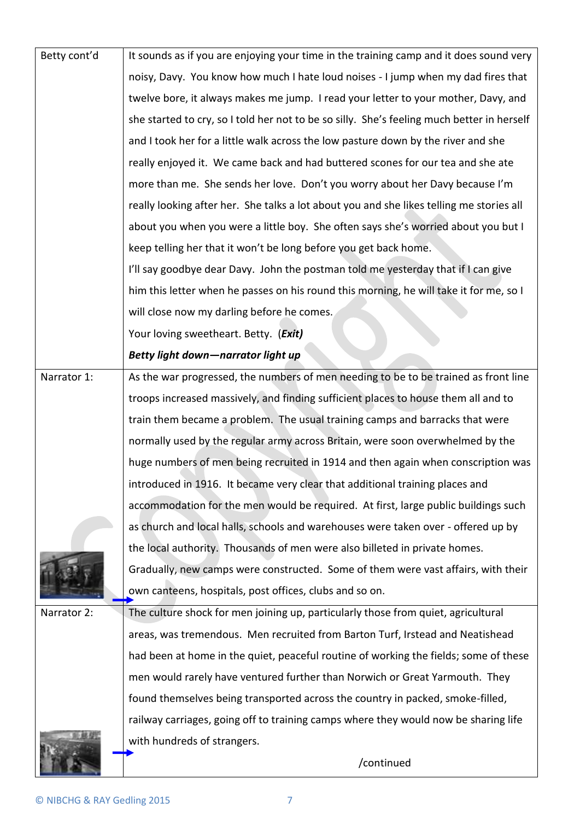| Betty cont'd | It sounds as if you are enjoying your time in the training camp and it does sound very     |
|--------------|--------------------------------------------------------------------------------------------|
|              | noisy, Davy. You know how much I hate loud noises - I jump when my dad fires that          |
|              | twelve bore, it always makes me jump. I read your letter to your mother, Davy, and         |
|              | she started to cry, so I told her not to be so silly. She's feeling much better in herself |
|              | and I took her for a little walk across the low pasture down by the river and she          |
|              | really enjoyed it. We came back and had buttered scones for our tea and she ate            |
|              | more than me. She sends her love. Don't you worry about her Davy because I'm               |
|              | really looking after her. She talks a lot about you and she likes telling me stories all   |
|              | about you when you were a little boy. She often says she's worried about you but I         |
|              | keep telling her that it won't be long before you get back home.                           |
|              | I'll say goodbye dear Davy. John the postman told me yesterday that if I can give          |
|              | him this letter when he passes on his round this morning, he will take it for me, so I     |
|              | will close now my darling before he comes.                                                 |
|              | Your loving sweetheart. Betty. (Exit)                                                      |
|              | Betty light down-narrator light up                                                         |
| Narrator 1:  | As the war progressed, the numbers of men needing to be to be trained as front line        |
|              | troops increased massively, and finding sufficient places to house them all and to         |
|              | train them became a problem. The usual training camps and barracks that were               |
|              | normally used by the regular army across Britain, were soon overwhelmed by the             |
|              | huge numbers of men being recruited in 1914 and then again when conscription was           |
|              | introduced in 1916. It became very clear that additional training places and               |
|              | accommodation for the men would be required. At first, large public buildings such         |
|              | as church and local halls, schools and warehouses were taken over - offered up by          |
|              | the local authority. Thousands of men were also billeted in private homes.                 |
|              | Gradually, new camps were constructed. Some of them were vast affairs, with their          |
|              | own canteens, hospitals, post offices, clubs and so on.                                    |
| Narrator 2:  | The culture shock for men joining up, particularly those from quiet, agricultural          |
|              | areas, was tremendous. Men recruited from Barton Turf, Irstead and Neatishead              |
|              | had been at home in the quiet, peaceful routine of working the fields; some of these       |
|              | men would rarely have ventured further than Norwich or Great Yarmouth. They                |
|              | found themselves being transported across the country in packed, smoke-filled,             |
|              | railway carriages, going off to training camps where they would now be sharing life        |
|              | with hundreds of strangers.                                                                |
|              | /continued                                                                                 |